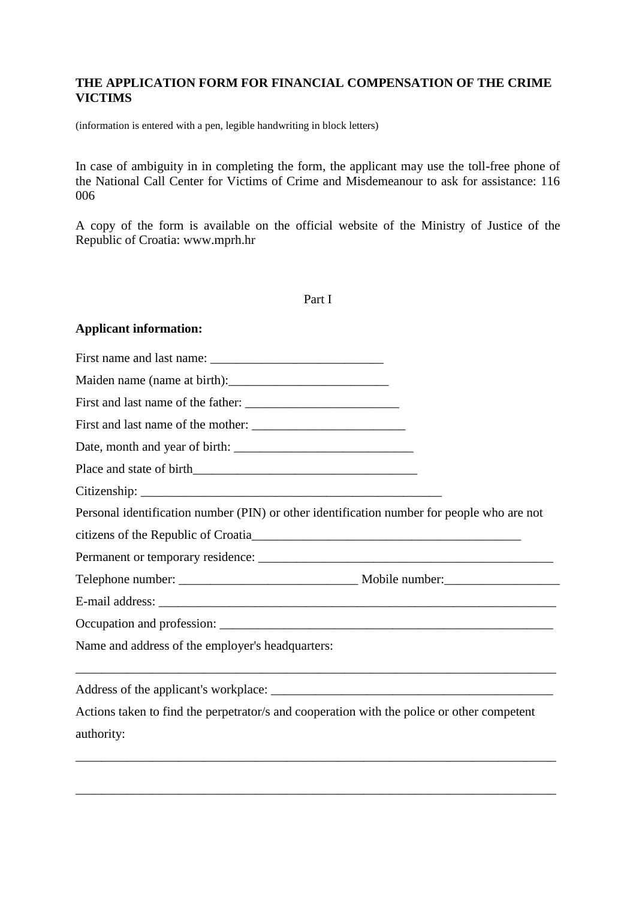# **THE APPLICATION FORM FOR FINANCIAL COMPENSATION OF THE CRIME VICTIMS**

(information is entered with a pen, legible handwriting in block letters)

In case of ambiguity in in completing the form, the applicant may use the toll-free phone of the National Call Center for Victims of Crime and Misdemeanour to ask for assistance: 116 006

A copy of the form is available on the official website of the Ministry of Justice of the Republic of Croatia: www.mprh.hr

| ۰,<br>I |  |
|---------|--|
|---------|--|

# **Applicant information:**

| Personal identification number (PIN) or other identification number for people who are not               |  |
|----------------------------------------------------------------------------------------------------------|--|
|                                                                                                          |  |
|                                                                                                          |  |
|                                                                                                          |  |
|                                                                                                          |  |
|                                                                                                          |  |
| Name and address of the employer's headquarters:                                                         |  |
|                                                                                                          |  |
| Actions taken to find the perpetrator/s and cooperation with the police or other competent<br>authority: |  |
|                                                                                                          |  |

\_\_\_\_\_\_\_\_\_\_\_\_\_\_\_\_\_\_\_\_\_\_\_\_\_\_\_\_\_\_\_\_\_\_\_\_\_\_\_\_\_\_\_\_\_\_\_\_\_\_\_\_\_\_\_\_\_\_\_\_\_\_\_\_\_\_\_\_\_\_\_\_\_\_\_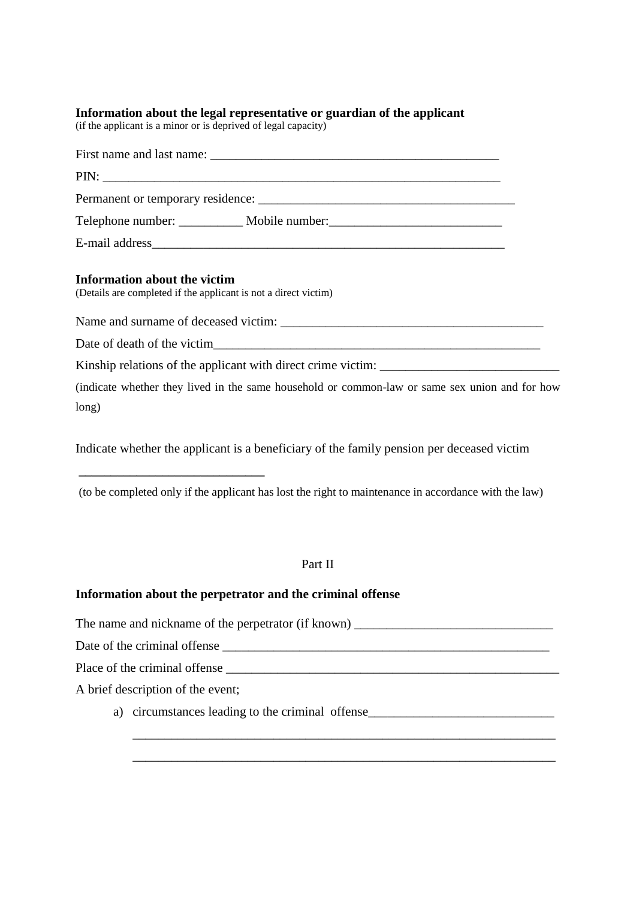#### **Information about the legal representative or guardian of the applicant**

(if the applicant is a minor or is deprived of legal capacity)

| Telephone number: ____________ Mobile number: __________________________________                |  |
|-------------------------------------------------------------------------------------------------|--|
|                                                                                                 |  |
| Information about the victim<br>(Details are completed if the applicant is not a direct victim) |  |
|                                                                                                 |  |
|                                                                                                 |  |
| Kinship relations of the applicant with direct crime victim:                                    |  |
| (indicate whether they lived in the same household or common-law or same sex union and for how  |  |
| long)                                                                                           |  |

Indicate whether the applicant is a beneficiary of the family pension per deceased victim

(to be completed only if the applicant has lost the right to maintenance in accordance with the law)

#### Part II

## **Information about the perpetrator and the criminal offense**

**\_\_\_\_\_\_\_\_\_\_\_\_\_\_\_\_\_\_\_\_\_\_\_\_\_\_\_\_\_**

The name and nickname of the perpetrator (if known) \_\_\_\_\_\_\_\_\_\_\_\_\_\_\_\_\_\_\_\_\_\_\_\_\_\_\_\_\_ Date of the criminal offense \_\_\_\_\_\_\_\_\_\_\_\_\_\_\_\_\_\_\_\_\_\_\_\_\_\_\_\_\_\_\_\_\_\_\_\_\_\_\_\_\_\_\_\_\_\_\_\_\_\_\_ Place of the criminal offense A brief description of the event; a) circumstances leading to the criminal offense\_\_\_\_\_\_\_\_\_\_\_\_\_\_\_\_\_\_\_\_\_\_\_\_\_\_\_\_\_\_\_\_\_  $\mathcal{L}_\text{max} = \frac{1}{2} \sum_{i=1}^{n} \frac{1}{2} \sum_{i=1}^{n} \frac{1}{2} \sum_{i=1}^{n} \frac{1}{2} \sum_{i=1}^{n} \frac{1}{2} \sum_{i=1}^{n} \frac{1}{2} \sum_{i=1}^{n} \frac{1}{2} \sum_{i=1}^{n} \frac{1}{2} \sum_{i=1}^{n} \frac{1}{2} \sum_{i=1}^{n} \frac{1}{2} \sum_{i=1}^{n} \frac{1}{2} \sum_{i=1}^{n} \frac{1}{2} \sum_{i=1}^{n} \frac{1$ 

\_\_\_\_\_\_\_\_\_\_\_\_\_\_\_\_\_\_\_\_\_\_\_\_\_\_\_\_\_\_\_\_\_\_\_\_\_\_\_\_\_\_\_\_\_\_\_\_\_\_\_\_\_\_\_\_\_\_\_\_\_\_\_\_\_\_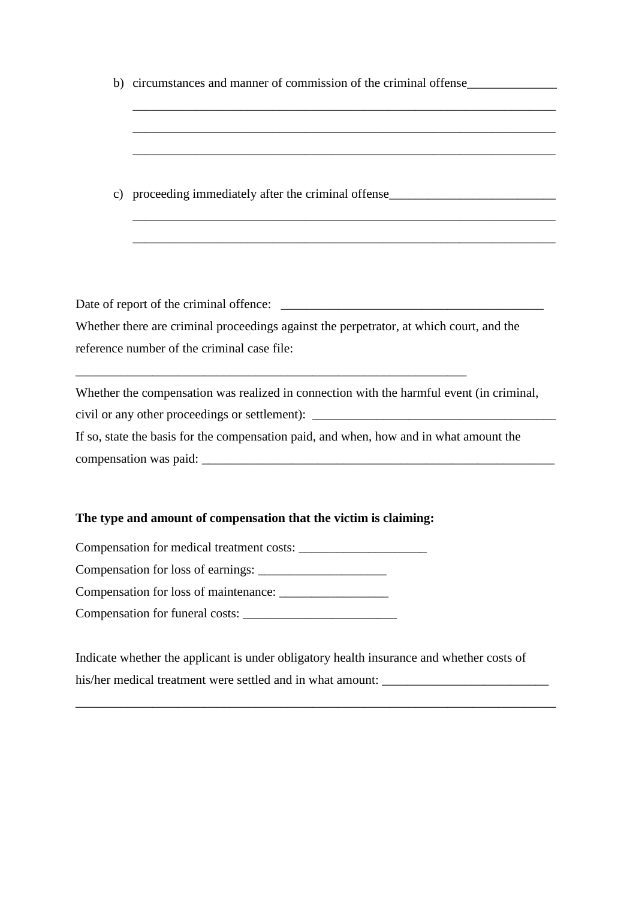b) circumstances and manner of commission of the criminal offense

\_\_\_\_\_\_\_\_\_\_\_\_\_\_\_\_\_\_\_\_\_\_\_\_\_\_\_\_\_\_\_\_\_\_\_\_\_\_\_\_\_\_\_\_\_\_\_\_\_\_\_\_\_\_\_\_\_\_\_\_\_\_\_\_\_\_

\_\_\_\_\_\_\_\_\_\_\_\_\_\_\_\_\_\_\_\_\_\_\_\_\_\_\_\_\_\_\_\_\_\_\_\_\_\_\_\_\_\_\_\_\_\_\_\_\_\_\_\_\_\_\_\_\_\_\_\_\_\_\_\_\_\_

\_\_\_\_\_\_\_\_\_\_\_\_\_\_\_\_\_\_\_\_\_\_\_\_\_\_\_\_\_\_\_\_\_\_\_\_\_\_\_\_\_\_\_\_\_\_\_\_\_\_\_\_\_\_\_\_\_\_\_\_\_\_\_\_\_\_

\_\_\_\_\_\_\_\_\_\_\_\_\_\_\_\_\_\_\_\_\_\_\_\_\_\_\_\_\_\_\_\_\_\_\_\_\_\_\_\_\_\_\_\_\_\_\_\_\_\_\_\_\_\_\_\_\_\_\_\_\_\_\_\_\_\_

\_\_\_\_\_\_\_\_\_\_\_\_\_\_\_\_\_\_\_\_\_\_\_\_\_\_\_\_\_\_\_\_\_\_\_\_\_\_\_\_\_\_\_\_\_\_\_\_\_\_\_\_\_\_\_\_\_\_\_\_\_\_\_\_\_\_

c) proceeding immediately after the criminal offense

Date of report of the criminal offence: \_\_\_\_\_\_\_\_\_\_\_\_\_\_\_\_\_\_\_\_\_\_\_\_\_\_\_\_\_\_\_\_\_\_\_\_\_\_\_\_\_

Whether there are criminal proceedings against the perpetrator, at which court, and the reference number of the criminal case file:

\_\_\_\_\_\_\_\_\_\_\_\_\_\_\_\_\_\_\_\_\_\_\_\_\_\_\_\_\_\_\_\_\_\_\_\_\_\_\_\_\_\_\_\_\_\_\_\_\_\_\_\_\_\_\_\_\_\_\_\_\_

Whether the compensation was realized in connection with the harmful event (in criminal,

civil or any other proceedings or settlement): \_\_\_\_\_\_\_\_\_\_\_\_\_\_\_\_\_\_\_\_\_\_\_\_\_\_\_\_\_\_\_\_\_\_

If so, state the basis for the compensation paid, and when, how and in what amount the compensation was paid: \_\_\_\_\_\_\_\_\_\_\_\_\_\_\_\_\_\_\_\_\_\_\_\_\_\_\_\_\_\_\_\_\_\_\_\_\_\_\_\_\_\_\_\_\_\_\_\_\_\_\_\_\_\_\_

## **The type and amount of compensation that the victim is claiming:**

Compensation for medical treatment costs:

Compensation for loss of earnings: \_\_\_\_\_\_\_\_\_\_\_\_\_\_\_\_\_\_\_\_

Compensation for loss of maintenance:

Compensation for funeral costs:

Indicate whether the applicant is under obligatory health insurance and whether costs of his/her medical treatment were settled and in what amount: \_\_\_\_\_\_\_\_\_\_\_\_\_\_\_\_\_\_\_\_\_

\_\_\_\_\_\_\_\_\_\_\_\_\_\_\_\_\_\_\_\_\_\_\_\_\_\_\_\_\_\_\_\_\_\_\_\_\_\_\_\_\_\_\_\_\_\_\_\_\_\_\_\_\_\_\_\_\_\_\_\_\_\_\_\_\_\_\_\_\_\_\_\_\_\_\_